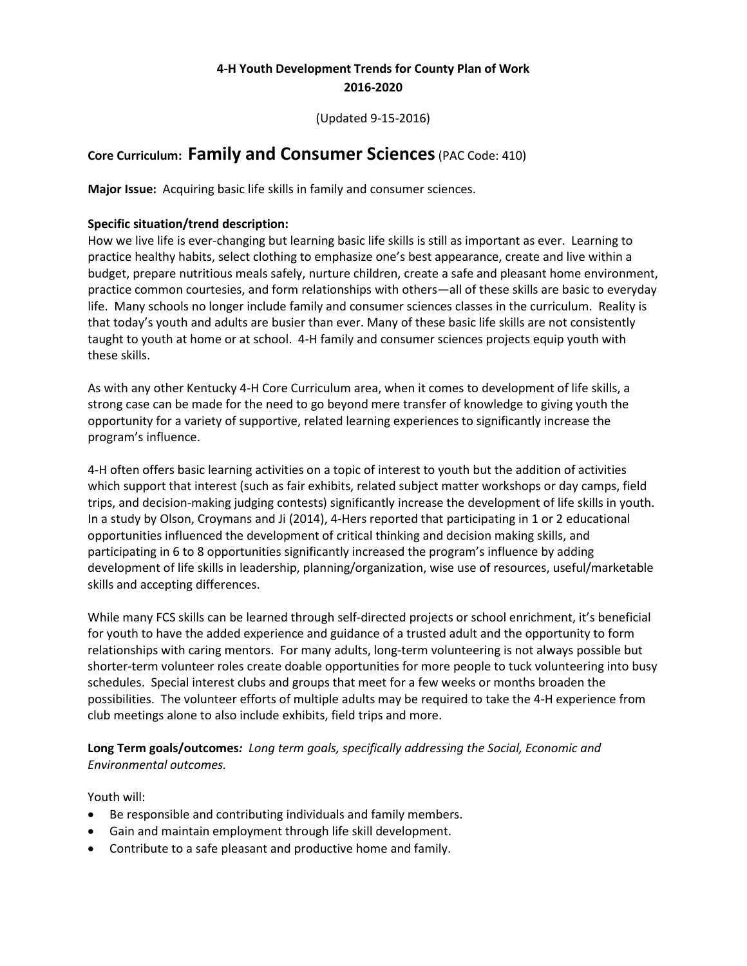# **4-H Youth Development Trends for County Plan of Work 2016-2020**

(Updated 9-15-2016)

# **Core Curriculum: Family and Consumer Sciences**(PAC Code: 410)

**Major Issue:** Acquiring basic life skills in family and consumer sciences.

### **Specific situation/trend description:**

How we live life is ever-changing but learning basic life skills is still as important as ever. Learning to practice healthy habits, select clothing to emphasize one's best appearance, create and live within a budget, prepare nutritious meals safely, nurture children, create a safe and pleasant home environment, practice common courtesies, and form relationships with others—all of these skills are basic to everyday life. Many schools no longer include family and consumer sciences classes in the curriculum. Reality is that today's youth and adults are busier than ever. Many of these basic life skills are not consistently taught to youth at home or at school. 4-H family and consumer sciences projects equip youth with these skills.

As with any other Kentucky 4-H Core Curriculum area, when it comes to development of life skills, a strong case can be made for the need to go beyond mere transfer of knowledge to giving youth the opportunity for a variety of supportive, related learning experiences to significantly increase the program's influence.

4-H often offers basic learning activities on a topic of interest to youth but the addition of activities which support that interest (such as fair exhibits, related subject matter workshops or day camps, field trips, and decision-making judging contests) significantly increase the development of life skills in youth. In a study by Olson, Croymans and Ji (2014), 4-Hers reported that participating in 1 or 2 educational opportunities influenced the development of critical thinking and decision making skills, and participating in 6 to 8 opportunities significantly increased the program's influence by adding development of life skills in leadership, planning/organization, wise use of resources, useful/marketable skills and accepting differences.

While many FCS skills can be learned through self-directed projects or school enrichment, it's beneficial for youth to have the added experience and guidance of a trusted adult and the opportunity to form relationships with caring mentors. For many adults, long-term volunteering is not always possible but shorter-term volunteer roles create doable opportunities for more people to tuck volunteering into busy schedules. Special interest clubs and groups that meet for a few weeks or months broaden the possibilities. The volunteer efforts of multiple adults may be required to take the 4-H experience from club meetings alone to also include exhibits, field trips and more.

**Long Term goals/outcomes***: Long term goals, specifically addressing the Social, Economic and Environmental outcomes.*

Youth will:

- Be responsible and contributing individuals and family members.
- Gain and maintain employment through life skill development.
- Contribute to a safe pleasant and productive home and family.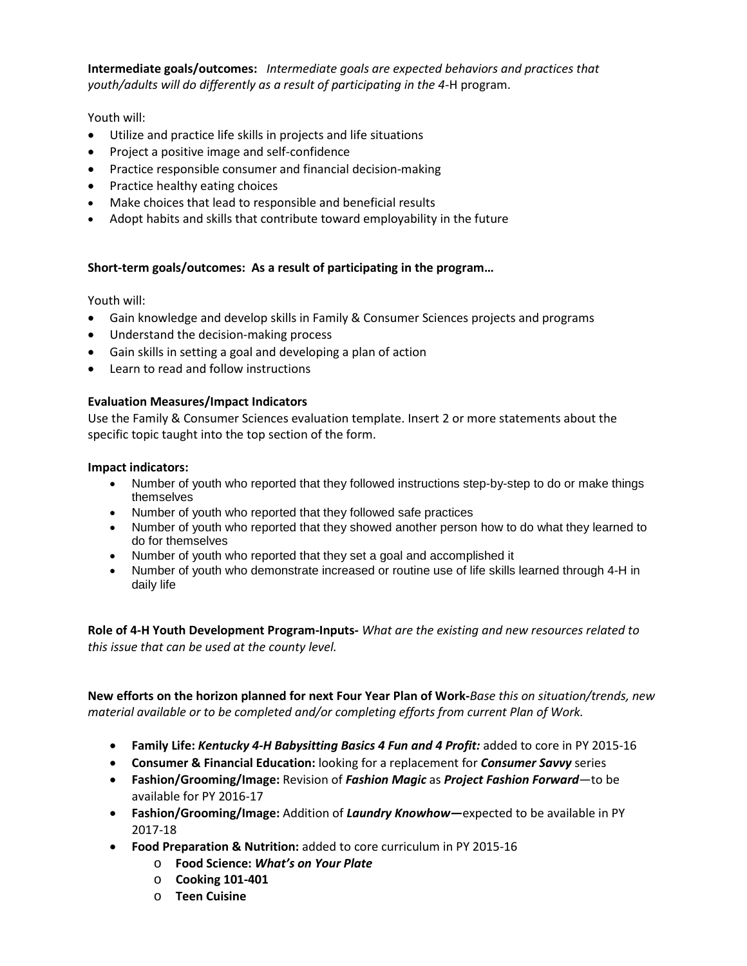**Intermediate goals/outcomes:** *Intermediate goals are expected behaviors and practices that youth/adults will do differently as a result of participating in the 4-*H program.

Youth will:

- Utilize and practice life skills in projects and life situations
- Project a positive image and self-confidence
- Practice responsible consumer and financial decision-making
- Practice healthy eating choices
- Make choices that lead to responsible and beneficial results
- Adopt habits and skills that contribute toward employability in the future

### **Short-term goals/outcomes: As a result of participating in the program…**

Youth will:

- Gain knowledge and develop skills in Family & Consumer Sciences projects and programs
- Understand the decision-making process
- Gain skills in setting a goal and developing a plan of action
- Learn to read and follow instructions

### **Evaluation Measures/Impact Indicators**

Use the Family & Consumer Sciences evaluation template. Insert 2 or more statements about the specific topic taught into the top section of the form.

#### **Impact indicators:**

- Number of youth who reported that they followed instructions step-by-step to do or make things themselves
- Number of youth who reported that they followed safe practices
- Number of youth who reported that they showed another person how to do what they learned to do for themselves
- Number of youth who reported that they set a goal and accomplished it
- Number of youth who demonstrate increased or routine use of life skills learned through 4-H in daily life

**Role of 4-H Youth Development Program-Inputs-** *What are the existing and new resources related to this issue that can be used at the county level.* 

**New efforts on the horizon planned for next Four Year Plan of Work-***Base this on situation/trends, new material available or to be completed and/or completing efforts from current Plan of Work.*

- **Family Life:** *Kentucky 4-H Babysitting Basics 4 Fun and 4 Profit:* added to core in PY 2015-16
- **Consumer & Financial Education:** looking for a replacement for *Consumer Savvy* series
- **Fashion/Grooming/Image:** Revision of *Fashion Magic* as *Project Fashion Forward*—to be available for PY 2016-17
- **Fashion/Grooming/Image:** Addition of *Laundry Knowhow***—**expected to be available in PY 2017-18
- **Food Preparation & Nutrition:** added to core curriculum in PY 2015-16
	- o **Food Science:** *What's on Your Plate*
	- o **Cooking 101-401**
	- o **Teen Cuisine**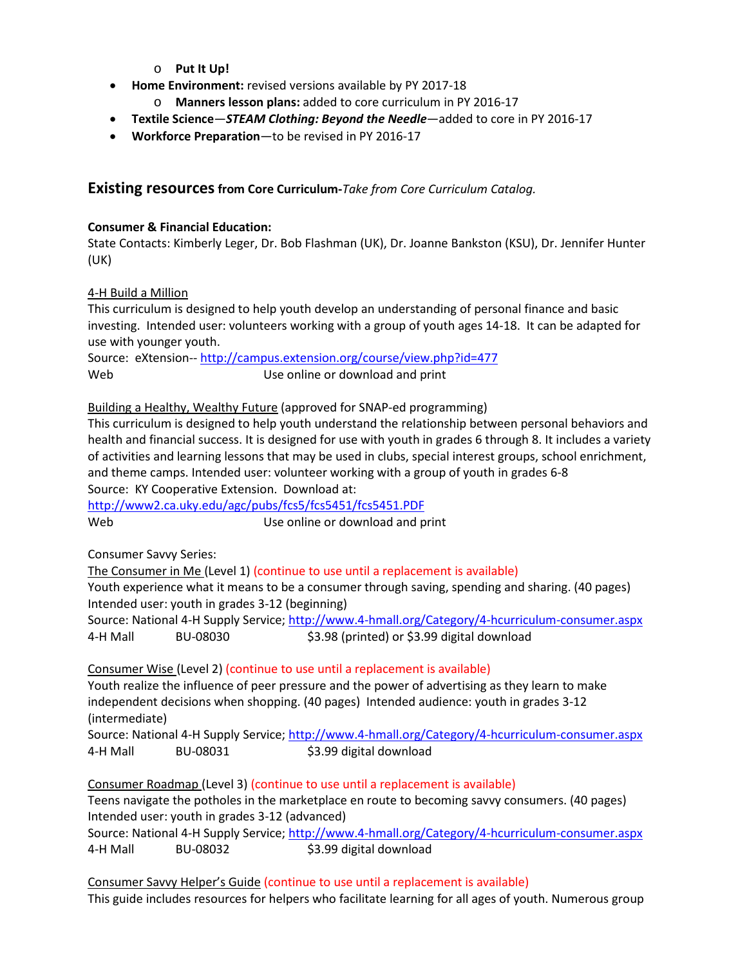- o **Put It Up!**
- **Home Environment:** revised versions available by PY 2017-18
	- **Manners lesson plans:** added to core curriculum in PY 2016-17
- **Textile Science**—*STEAM Clothing: Beyond the Needle*—added to core in PY 2016-17
- **Workforce Preparation**—to be revised in PY 2016-17

# **Existing resources from Core Curriculum-***Take from Core Curriculum Catalog.*

## **Consumer & Financial Education:**

State Contacts: Kimberly Leger, Dr. Bob Flashman (UK), Dr. Joanne Bankston (KSU), Dr. Jennifer Hunter (UK)

## 4-H Build a Million

This curriculum is designed to help youth develop an understanding of personal finance and basic investing. Intended user: volunteers working with a group of youth ages 14-18. It can be adapted for use with younger youth.

Source: eXtension-- <http://campus.extension.org/course/view.php?id=477> Web Web Use online or download and print

Building a Healthy, Wealthy Future (approved for SNAP-ed programming)

This curriculum is designed to help youth understand the relationship between personal behaviors and health and financial success. It is designed for use with youth in grades 6 through 8. It includes a variety of activities and learning lessons that may be used in clubs, special interest groups, school enrichment, and theme camps. Intended user: volunteer working with a group of youth in grades 6-8 Source: KY Cooperative Extension. Download at:

<http://www2.ca.uky.edu/agc/pubs/fcs5/fcs5451/fcs5451.PDF> Web Web Use online or download and print

Consumer Savvy Series:

The Consumer in Me (Level 1) (continue to use until a replacement is available)

Youth experience what it means to be a consumer through saving, spending and sharing. (40 pages) Intended user: youth in grades 3-12 (beginning)

Source: National 4-H Supply Service[; http://www.4-hmall.org/Category/4-hcurriculum-consumer.aspx](http://www.4-hmall.org/Category/4-hcurriculum-consumer.aspx) 4-H Mall BU-08030 \$3.98 (printed) or \$3.99 digital download

Consumer Wise (Level 2) (continue to use until a replacement is available) Youth realize the influence of peer pressure and the power of advertising as they learn to make independent decisions when shopping. (40 pages) Intended audience: youth in grades 3-12

(intermediate)

Source: National 4-H Supply Service[; http://www.4-hmall.org/Category/4-hcurriculum-consumer.aspx](http://www.4-hmall.org/Category/4-hcurriculum-consumer.aspx) 4-H Mall BU-08031 \$3.99 digital download

Consumer Roadmap (Level 3) (continue to use until a replacement is available) Teens navigate the potholes in the marketplace en route to becoming savvy consumers. (40 pages) Intended user: youth in grades 3-12 (advanced) Source: National 4-H Supply Service[; http://www.4-hmall.org/Category/4-hcurriculum-consumer.aspx](http://www.4-hmall.org/Category/4-hcurriculum-consumer.aspx) 4-H Mall BU-08032 \$3.99 digital download

Consumer Savvy Helper's Guide (continue to use until a replacement is available) This guide includes resources for helpers who facilitate learning for all ages of youth. Numerous group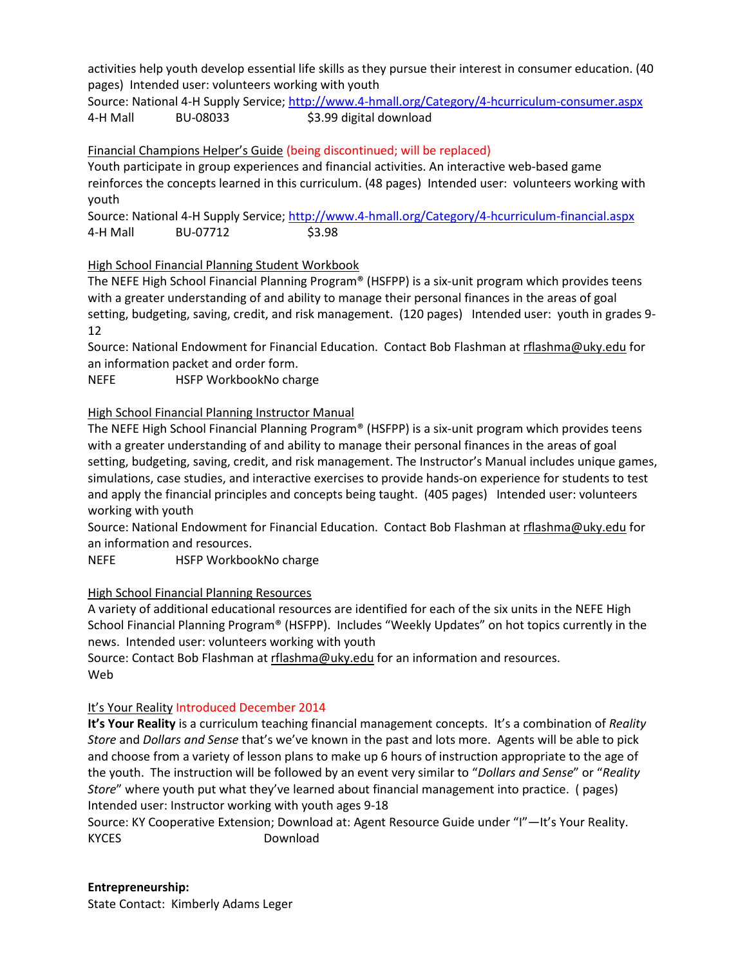activities help youth develop essential life skills as they pursue their interest in consumer education. (40 pages) Intended user: volunteers working with youth

Source: National 4-H Supply Service[; http://www.4-hmall.org/Category/4-hcurriculum-consumer.aspx](http://www.4-hmall.org/Category/4-hcurriculum-consumer.aspx) 4-H Mall BU-08033 \$3.99 digital download

### Financial Champions Helper's Guide (being discontinued; will be replaced)

Youth participate in group experiences and financial activities. An interactive web-based game reinforces the concepts learned in this curriculum. (48 pages) Intended user: volunteers working with youth

Source: National 4-H Supply Service[; http://www.4-hmall.org/Category/4-hcurriculum-financial.aspx](http://www.4-hmall.org/Category/4-hcurriculum-financial.aspx) 4-H Mall BU-07712 \$3.98

## High School Financial Planning Student Workbook

The NEFE High School Financial Planning Program® (HSFPP) is a six-unit program which provides teens with a greater understanding of and ability to manage their personal finances in the areas of goal setting, budgeting, saving, credit, and risk management. (120 pages) Intended user: youth in grades 9- 12

Source: National Endowment for Financial Education. Contact Bob Flashman at [rflashma@uky.edu](mailto:rflashma@uky.edu) for an information packet and order form.

NEFE HSFP WorkbookNo charge

## High School Financial Planning Instructor Manual

The NEFE High School Financial Planning Program® (HSFPP) is a six-unit program which provides teens with a greater understanding of and ability to manage their personal finances in the areas of goal setting, budgeting, saving, credit, and risk management. The Instructor's Manual includes unique games, simulations, case studies, and interactive exercises to provide hands-on experience for students to test and apply the financial principles and concepts being taught. (405 pages) Intended user: volunteers working with youth

Source: National Endowment for Financial Education. Contact Bob Flashman at [rflashma@uky.edu](mailto:rflashma@uky.edu) for an information and resources.

NEFE HSFP WorkbookNo charge

### High School Financial Planning Resources

A variety of additional educational resources are identified for each of the six units in the NEFE High School Financial Planning Program® (HSFPP). Includes "Weekly Updates" on hot topics currently in the news. Intended user: volunteers working with youth

Source: Contact Bob Flashman at [rflashma@uky.edu](mailto:rflashma@uky.edu) for an information and resources. Web

# It's Your Reality Introduced December 2014

**It's Your Reality** is a curriculum teaching financial management concepts. It's a combination of *Reality Store* and *Dollars and Sense* that's we've known in the past and lots more. Agents will be able to pick and choose from a variety of lesson plans to make up 6 hours of instruction appropriate to the age of the youth. The instruction will be followed by an event very similar to "*Dollars and Sense*" or "*Reality Store*" where youth put what they've learned about financial management into practice. ( pages) Intended user: Instructor working with youth ages 9-18

Source: KY Cooperative Extension; Download at: Agent Resource Guide under "I"—It's Your Reality. KYCES Download

### **Entrepreneurship:**

State Contact: Kimberly Adams Leger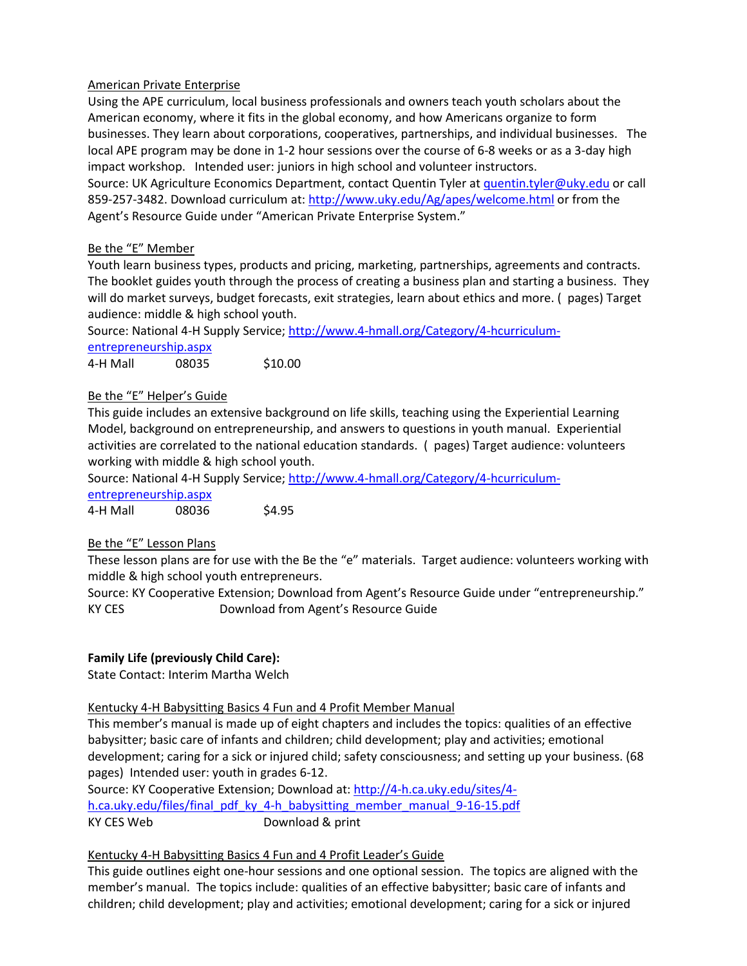### American Private Enterprise

Using the APE curriculum, local business professionals and owners teach youth scholars about the American economy, where it fits in the global economy, and how Americans organize to form businesses. They learn about corporations, cooperatives, partnerships, and individual businesses. The local APE program may be done in 1-2 hour sessions over the course of 6-8 weeks or as a 3-day high impact workshop. Intended user: juniors in high school and volunteer instructors.

Source: UK Agriculture Economics Department, contact Quentin Tyler a[t quentin.tyler@uky.edu](mailto:quentin.tyler@uky.edu) or call 859-257-3482. Download curriculum at:<http://www.uky.edu/Ag/apes/welcome.html> or from the Agent's Resource Guide under "American Private Enterprise System."

## Be the "E" Member

Youth learn business types, products and pricing, marketing, partnerships, agreements and contracts. The booklet guides youth through the process of creating a business plan and starting a business. They will do market surveys, budget forecasts, exit strategies, learn about ethics and more. ( pages) Target audience: middle & high school youth.

Source: National 4-H Supply Service[; http://www.4-hmall.org/Category/4-hcurriculum-](http://www.4-hmall.org/Category/4-hcurriculum-entrepreneurship.aspx)

[entrepreneurship.aspx](http://www.4-hmall.org/Category/4-hcurriculum-entrepreneurship.aspx) 4-H Mall 08035 \$10.00

# Be the "E" Helper's Guide

This guide includes an extensive background on life skills, teaching using the Experiential Learning Model, background on entrepreneurship, and answers to questions in youth manual. Experiential activities are correlated to the national education standards. ( pages) Target audience: volunteers working with middle & high school youth.

Source: National 4-H Supply Service[; http://www.4-hmall.org/Category/4-hcurriculum-](http://www.4-hmall.org/Category/4-hcurriculum-entrepreneurship.aspx)

[entrepreneurship.aspx](http://www.4-hmall.org/Category/4-hcurriculum-entrepreneurship.aspx)

4-H Mall 08036 \$4.95

# Be the "E" Lesson Plans

These lesson plans are for use with the Be the "e" materials. Target audience: volunteers working with middle & high school youth entrepreneurs.

Source: KY Cooperative Extension; Download from Agent's Resource Guide under "entrepreneurship." KY CES Download from Agent's Resource Guide

# **Family Life (previously Child Care):**

State Contact: Interim Martha Welch

### Kentucky 4-H Babysitting Basics 4 Fun and 4 Profit Member Manual

This member's manual is made up of eight chapters and includes the topics: qualities of an effective babysitter; basic care of infants and children; child development; play and activities; emotional development; caring for a sick or injured child; safety consciousness; and setting up your business. (68 pages) Intended user: youth in grades 6-12.

Source: KY Cooperative Extension; Download at: [http://4-h.ca.uky.edu/sites/4](http://4-h.ca.uky.edu/sites/4-h.ca.uky.edu/files/final_pdf_ky_4-h_babysitting_member_manual_9-16-15.pdf) [h.ca.uky.edu/files/final\\_pdf\\_ky\\_4-h\\_babysitting\\_member\\_manual\\_9-16-15.pdf](http://4-h.ca.uky.edu/sites/4-h.ca.uky.edu/files/final_pdf_ky_4-h_babysitting_member_manual_9-16-15.pdf) KY CES Web Download & print

### Kentucky 4-H Babysitting Basics 4 Fun and 4 Profit Leader's Guide

This guide outlines eight one-hour sessions and one optional session. The topics are aligned with the member's manual. The topics include: qualities of an effective babysitter; basic care of infants and children; child development; play and activities; emotional development; caring for a sick or injured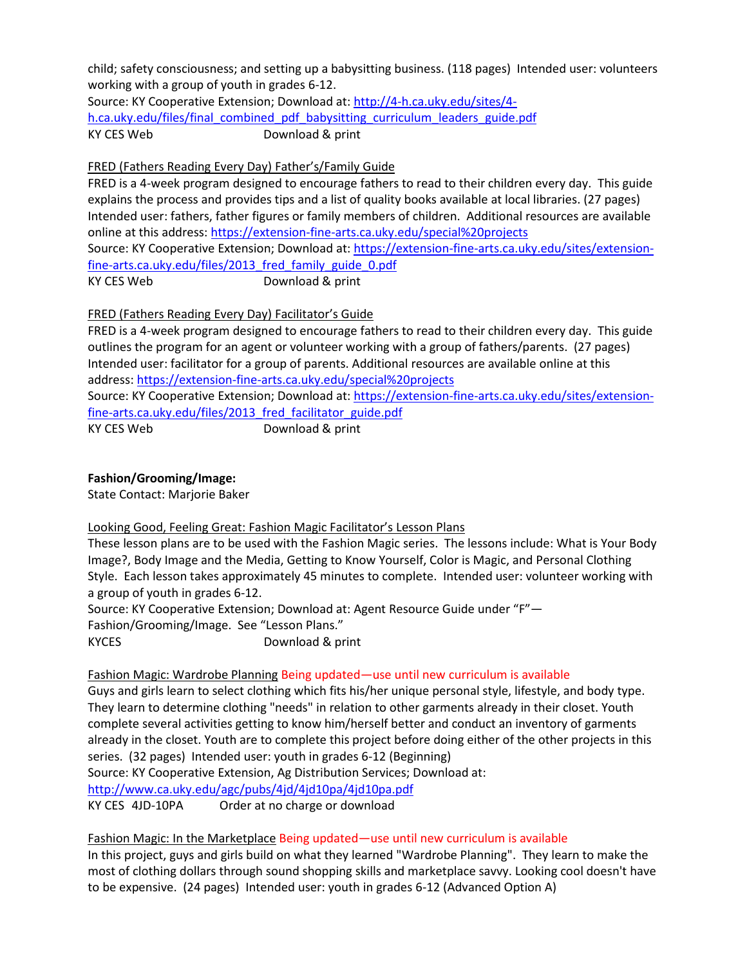child; safety consciousness; and setting up a babysitting business. (118 pages) Intended user: volunteers working with a group of youth in grades 6-12.

Source: KY Cooperative Extension; Download at: [http://4-h.ca.uky.edu/sites/4](http://4-h.ca.uky.edu/sites/4-h.ca.uky.edu/files/final_combined_pdf_babysitting_curriculum_leaders_guide.pdf) [h.ca.uky.edu/files/final\\_combined\\_pdf\\_babysitting\\_curriculum\\_leaders\\_guide.pdf](http://4-h.ca.uky.edu/sites/4-h.ca.uky.edu/files/final_combined_pdf_babysitting_curriculum_leaders_guide.pdf) KY CES Web Download & print

## FRED (Fathers Reading Every Day) Father's/Family Guide

FRED is a 4-week program designed to encourage fathers to read to their children every day. This guide explains the process and provides tips and a list of quality books available at local libraries. (27 pages) Intended user: fathers, father figures or family members of children. Additional resources are available online at this address:<https://extension-fine-arts.ca.uky.edu/special%20projects> Source: KY Cooperative Extension; Download at: [https://extension-fine-arts.ca.uky.edu/sites/extension](https://extension-fine-arts.ca.uky.edu/sites/extension-fine-arts.ca.uky.edu/files/2013_fred_family_guide_0.pdf)[fine-arts.ca.uky.edu/files/2013\\_fred\\_family\\_guide\\_0.pdf](https://extension-fine-arts.ca.uky.edu/sites/extension-fine-arts.ca.uky.edu/files/2013_fred_family_guide_0.pdf) KY CES Web Download & print

## FRED (Fathers Reading Every Day) Facilitator's Guide

FRED is a 4-week program designed to encourage fathers to read to their children every day. This guide outlines the program for an agent or volunteer working with a group of fathers/parents. (27 pages) Intended user: facilitator for a group of parents. Additional resources are available online at this address:<https://extension-fine-arts.ca.uky.edu/special%20projects>

Source: KY Cooperative Extension; Download at: [https://extension-fine-arts.ca.uky.edu/sites/extension](https://extension-fine-arts.ca.uky.edu/sites/extension-fine-arts.ca.uky.edu/files/2013_fred_facilitator_guide.pdf)[fine-arts.ca.uky.edu/files/2013\\_fred\\_facilitator\\_guide.pdf](https://extension-fine-arts.ca.uky.edu/sites/extension-fine-arts.ca.uky.edu/files/2013_fred_facilitator_guide.pdf)

KY CES Web Download & print

### **Fashion/Grooming/Image:**

State Contact: Marjorie Baker

### Looking Good, Feeling Great: Fashion Magic Facilitator's Lesson Plans

These lesson plans are to be used with the Fashion Magic series. The lessons include: What is Your Body Image?, Body Image and the Media, Getting to Know Yourself, Color is Magic, and Personal Clothing Style. Each lesson takes approximately 45 minutes to complete. Intended user: volunteer working with a group of youth in grades 6-12.

Source: KY Cooperative Extension; Download at: Agent Resource Guide under "F"— Fashion/Grooming/Image. See "Lesson Plans." KYCES Download & print

### Fashion Magic: Wardrobe Planning Being updated—use until new curriculum is available

Guys and girls learn to select clothing which fits his/her unique personal style, lifestyle, and body type. They learn to determine clothing "needs" in relation to other garments already in their closet. Youth complete several activities getting to know him/herself better and conduct an inventory of garments already in the closet. Youth are to complete this project before doing either of the other projects in this series. (32 pages) Intended user: youth in grades 6-12 (Beginning) Source: KY Cooperative Extension, Ag Distribution Services; Download at: <http://www.ca.uky.edu/agc/pubs/4jd/4jd10pa/4jd10pa.pdf>

KY CES 4JD-10PA Order at no charge or download

Fashion Magic: In the Marketplace Being updated—use until new curriculum is available In this project, guys and girls build on what they learned "Wardrobe Planning". They learn to make the most of clothing dollars through sound shopping skills and marketplace savvy. Looking cool doesn't have to be expensive. (24 pages) Intended user: youth in grades 6-12 (Advanced Option A)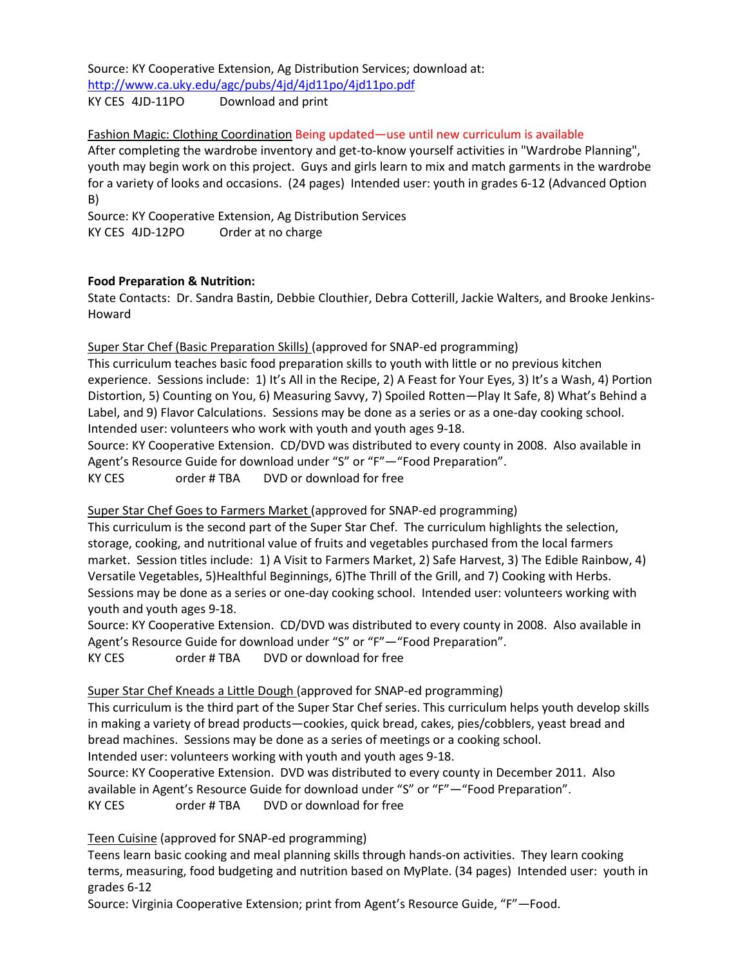Source: KY Cooperative Extension, Ag Distribution Services; download at: <http://www.ca.uky.edu/agc/pubs/4jd/4jd11po/4jd11po.pdf> KY CES 4JD-11PO Download and print

Fashion Magic: Clothing Coordination Being updated—use until new curriculum is available After completing the wardrobe inventory and get-to-know yourself activities in "Wardrobe Planning", youth may begin work on this project. Guys and girls learn to mix and match garments in the wardrobe for a variety of looks and occasions. (24 pages) Intended user: youth in grades 6-12 (Advanced Option B)

Source: KY Cooperative Extension, Ag Distribution Services KY CES 4JD-12PO Order at no charge

## **Food Preparation & Nutrition:**

State Contacts: Dr. Sandra Bastin, Debbie Clouthier, Debra Cotterill, Jackie Walters, and Brooke Jenkins-Howard

## Super Star Chef (Basic Preparation Skills) (approved for SNAP-ed programming)

This curriculum teaches basic food preparation skills to youth with little or no previous kitchen experience. Sessions include: 1) It's All in the Recipe, 2) A Feast for Your Eyes, 3) It's a Wash, 4) Portion Distortion, 5) Counting on You, 6) Measuring Savvy, 7) Spoiled Rotten—Play It Safe, 8) What's Behind a Label, and 9) Flavor Calculations. Sessions may be done as a series or as a one-day cooking school. Intended user: volunteers who work with youth and youth ages 9-18.

Source: KY Cooperative Extension. CD/DVD was distributed to every county in 2008. Also available in Agent's Resource Guide for download under "S" or "F"—"Food Preparation".

KY CES order # TBA DVD or download for free

# Super Star Chef Goes to Farmers Market (approved for SNAP-ed programming)

This curriculum is the second part of the Super Star Chef. The curriculum highlights the selection, storage, cooking, and nutritional value of fruits and vegetables purchased from the local farmers market. Session titles include: 1) A Visit to Farmers Market, 2) Safe Harvest, 3) The Edible Rainbow, 4) Versatile Vegetables, 5)Healthful Beginnings, 6)The Thrill of the Grill, and 7) Cooking with Herbs. Sessions may be done as a series or one-day cooking school. Intended user: volunteers working with youth and youth ages 9-18.

Source: KY Cooperative Extension. CD/DVD was distributed to every county in 2008. Also available in Agent's Resource Guide for download under "S" or "F"—"Food Preparation". KY CES order # TBA DVD or download for free

# Super Star Chef Kneads a Little Dough (approved for SNAP-ed programming)

This curriculum is the third part of the Super Star Chef series. This curriculum helps youth develop skills in making a variety of bread products—cookies, quick bread, cakes, pies/cobblers, yeast bread and bread machines. Sessions may be done as a series of meetings or a cooking school. Intended user: volunteers working with youth and youth ages 9-18.

Source: KY Cooperative Extension. DVD was distributed to every county in December 2011. Also available in Agent's Resource Guide for download under "S" or "F"—"Food Preparation". KY CES order # TBA DVD or download for free

Teen Cuisine (approved for SNAP-ed programming)

Teens learn basic cooking and meal planning skills through hands-on activities. They learn cooking terms, measuring, food budgeting and nutrition based on MyPlate. (34 pages) Intended user: youth in grades 6-12

Source: Virginia Cooperative Extension; print from Agent's Resource Guide, "F"—Food.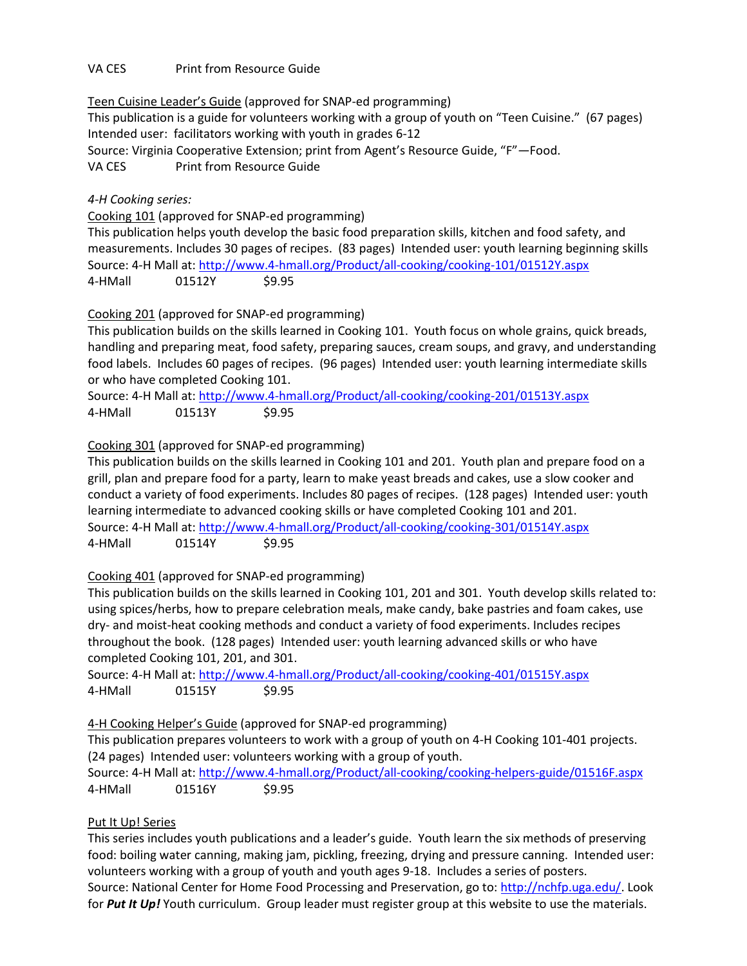## VA CES Print from Resource Guide

Teen Cuisine Leader's Guide (approved for SNAP-ed programming)

This publication is a guide for volunteers working with a group of youth on "Teen Cuisine." (67 pages) Intended user: facilitators working with youth in grades 6-12

Source: Virginia Cooperative Extension; print from Agent's Resource Guide, "F"—Food.

VA CES Print from Resource Guide

## *4-H Cooking series:*

Cooking 101 (approved for SNAP-ed programming)

This publication helps youth develop the basic food preparation skills, kitchen and food safety, and measurements. Includes 30 pages of recipes. (83 pages) Intended user: youth learning beginning skills Source: 4-H Mall at:<http://www.4-hmall.org/Product/all-cooking/cooking-101/01512Y.aspx> 4-HMall 01512Y \$9.95

## Cooking 201 (approved for SNAP-ed programming)

This publication builds on the skills learned in Cooking 101. Youth focus on whole grains, quick breads, handling and preparing meat, food safety, preparing sauces, cream soups, and gravy, and understanding food labels. Includes 60 pages of recipes. (96 pages) Intended user: youth learning intermediate skills or who have completed Cooking 101.

Source: 4-H Mall at:<http://www.4-hmall.org/Product/all-cooking/cooking-201/01513Y.aspx> 4-HMall 01513Y \$9.95

Cooking 301 (approved for SNAP-ed programming)

This publication builds on the skills learned in Cooking 101 and 201. Youth plan and prepare food on a grill, plan and prepare food for a party, learn to make yeast breads and cakes, use a slow cooker and conduct a variety of food experiments. Includes 80 pages of recipes. (128 pages) Intended user: youth learning intermediate to advanced cooking skills or have completed Cooking 101 and 201. Source: 4-H Mall at:<http://www.4-hmall.org/Product/all-cooking/cooking-301/01514Y.aspx> 4-HMall 01514Y \$9.95

# Cooking 401 (approved for SNAP-ed programming)

This publication builds on the skills learned in Cooking 101, 201 and 301. Youth develop skills related to: using spices/herbs, how to prepare celebration meals, make candy, bake pastries and foam cakes, use dry- and moist-heat cooking methods and conduct a variety of food experiments. Includes recipes throughout the book. (128 pages) Intended user: youth learning advanced skills or who have completed Cooking 101, 201, and 301.

Source: 4-H Mall at:<http://www.4-hmall.org/Product/all-cooking/cooking-401/01515Y.aspx> 4-HMall 01515Y \$9.95

4-H Cooking Helper's Guide (approved for SNAP-ed programming)

This publication prepares volunteers to work with a group of youth on 4-H Cooking 101-401 projects. (24 pages) Intended user: volunteers working with a group of youth.

Source: 4-H Mall at:<http://www.4-hmall.org/Product/all-cooking/cooking-helpers-guide/01516F.aspx> 4-HMall 01516Y \$9.95

# Put It Up! Series

This series includes youth publications and a leader's guide. Youth learn the six methods of preserving food: boiling water canning, making jam, pickling, freezing, drying and pressure canning. Intended user: volunteers working with a group of youth and youth ages 9-18. Includes a series of posters.

Source: National Center for Home Food Processing and Preservation, go to: [http://nchfp.uga.edu/.](http://nchfp.uga.edu/) Look for *Put It Up!* Youth curriculum. Group leader must register group at this website to use the materials.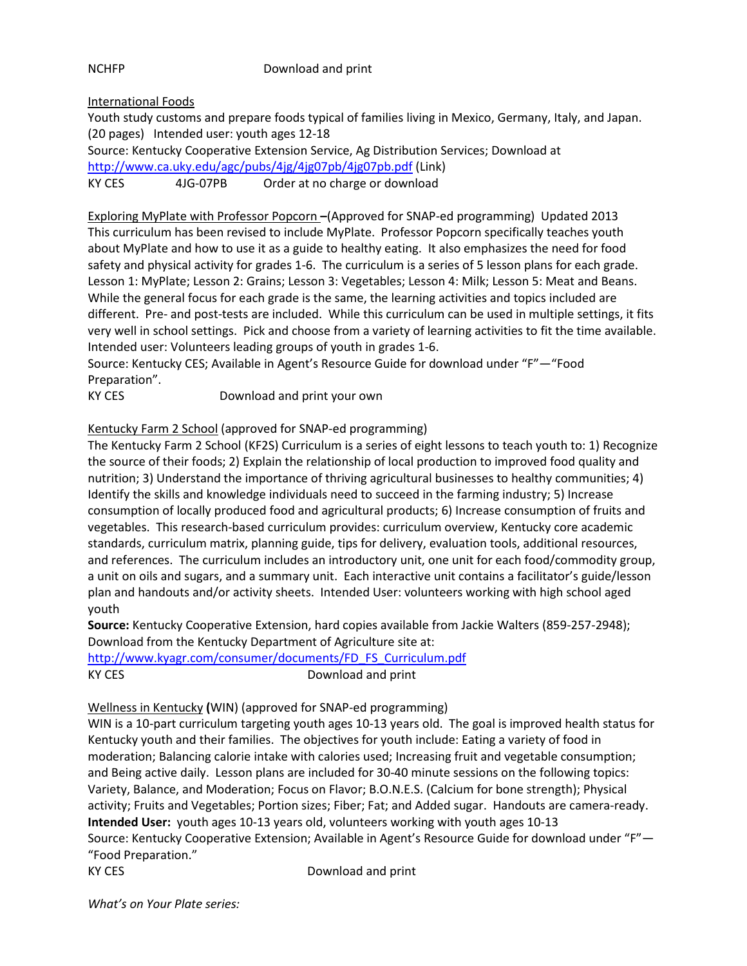NCHFP Download and print

International Foods

Youth study customs and prepare foods typical of families living in Mexico, Germany, Italy, and Japan. (20 pages) Intended user: youth ages 12-18 Source: Kentucky Cooperative Extension Service, Ag Distribution Services; Download at <http://www.ca.uky.edu/agc/pubs/4jg/4jg07pb/4jg07pb.pdf> (Link) KY CES 4JG-07PB Order at no charge or download

Exploring MyPlate with Professor Popcorn **–**(Approved for SNAP-ed programming) Updated 2013 This curriculum has been revised to include MyPlate. Professor Popcorn specifically teaches youth about MyPlate and how to use it as a guide to healthy eating. It also emphasizes the need for food safety and physical activity for grades 1-6. The curriculum is a series of 5 lesson plans for each grade. Lesson 1: MyPlate; Lesson 2: Grains; Lesson 3: Vegetables; Lesson 4: Milk; Lesson 5: Meat and Beans. While the general focus for each grade is the same, the learning activities and topics included are different. Pre- and post-tests are included. While this curriculum can be used in multiple settings, it fits very well in school settings. Pick and choose from a variety of learning activities to fit the time available. Intended user: Volunteers leading groups of youth in grades 1-6.

Source: Kentucky CES; Available in Agent's Resource Guide for download under "F"—"Food Preparation".

KY CES Download and print your own

Kentucky Farm 2 School (approved for SNAP-ed programming)

The Kentucky Farm 2 School (KF2S) Curriculum is a series of eight lessons to teach youth to: 1) Recognize the source of their foods; 2) Explain the relationship of local production to improved food quality and nutrition; 3) Understand the importance of thriving agricultural businesses to healthy communities; 4) Identify the skills and knowledge individuals need to succeed in the farming industry; 5) Increase consumption of locally produced food and agricultural products; 6) Increase consumption of fruits and vegetables. This research-based curriculum provides: curriculum overview, Kentucky core academic standards, curriculum matrix, planning guide, tips for delivery, evaluation tools, additional resources, and references. The curriculum includes an introductory unit, one unit for each food/commodity group, a unit on oils and sugars, and a summary unit. Each interactive unit contains a facilitator's guide/lesson plan and handouts and/or activity sheets. Intended User: volunteers working with high school aged youth

**Source:** Kentucky Cooperative Extension, hard copies available from Jackie Walters (859-257-2948); Download from the Kentucky Department of Agriculture site at:

[http://www.kyagr.com/consumer/documents/FD\\_FS\\_Curriculum.pdf](http://www.kyagr.com/consumer/documents/FD_FS_Curriculum.pdf) KY CES Download and print

Wellness in Kentucky **(**WIN) (approved for SNAP-ed programming)

WIN is a 10-part curriculum targeting youth ages 10-13 years old. The goal is improved health status for Kentucky youth and their families. The objectives for youth include: Eating a variety of food in moderation; Balancing calorie intake with calories used; Increasing fruit and vegetable consumption; and Being active daily. Lesson plans are included for 30-40 minute sessions on the following topics: Variety, Balance, and Moderation; Focus on Flavor; B.O.N.E.S. (Calcium for bone strength); Physical activity; Fruits and Vegetables; Portion sizes; Fiber; Fat; and Added sugar. Handouts are camera-ready. **Intended User:** youth ages 10-13 years old, volunteers working with youth ages 10-13 Source: Kentucky Cooperative Extension; Available in Agent's Resource Guide for download under "F"— "Food Preparation."

KY CES Download and print

*What's on Your Plate series:*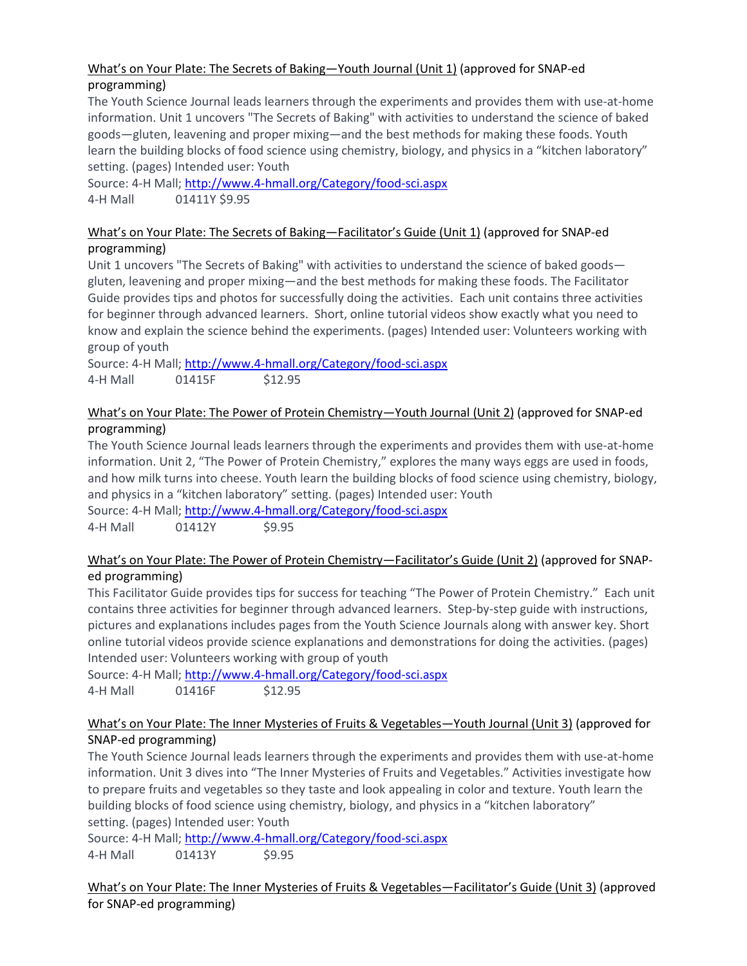# What's on Your Plate: The Secrets of Baking—Youth Journal (Unit 1) (approved for SNAP-ed programming)

The Youth Science Journal leads learners through the experiments and provides them with use-at-home information. Unit 1 uncovers "The Secrets of Baking" with activities to understand the science of baked goods—gluten, leavening and proper mixing—and the best methods for making these foods. Youth learn the building blocks of food science using chemistry, biology, and physics in a "kitchen laboratory" setting. (pages) Intended user: Youth

Source: 4-H Mall;<http://www.4-hmall.org/Category/food-sci.aspx> 4-H Mall 01411Y \$9.95

### What's on Your Plate: The Secrets of Baking—Facilitator's Guide (Unit 1) (approved for SNAP-ed programming)

Unit 1 uncovers "The Secrets of Baking" with activities to understand the science of baked goods gluten, leavening and proper mixing—and the best methods for making these foods. The Facilitator Guide provides tips and photos for successfully doing the activities. Each unit contains three activities for beginner through advanced learners. Short, online tutorial videos show exactly what you need to know and explain the science behind the experiments. (pages) Intended user: Volunteers working with group of youth

Source: 4-H Mall;<http://www.4-hmall.org/Category/food-sci.aspx> 4-H Mall 01415F \$12.95

# What's on Your Plate: The Power of Protein Chemistry—Youth Journal (Unit 2) (approved for SNAP-ed programming)

The Youth Science Journal leads learners through the experiments and provides them with use-at-home information. Unit 2, "The Power of Protein Chemistry," explores the many ways eggs are used in foods, and how milk turns into cheese. Youth learn the building blocks of food science using chemistry, biology, and physics in a "kitchen laboratory" setting. (pages) Intended user: Youth

Source: 4-H Mall;<http://www.4-hmall.org/Category/food-sci.aspx> 4-H Mall 01412Y \$9.95

# What's on Your Plate: The Power of Protein Chemistry—Facilitator's Guide (Unit 2) (approved for SNAPed programming)

This Facilitator Guide provides tips for success for teaching "The Power of Protein Chemistry." Each unit contains three activities for beginner through advanced learners. Step-by-step guide with instructions, pictures and explanations includes pages from the Youth Science Journals along with answer key. Short online tutorial videos provide science explanations and demonstrations for doing the activities. (pages) Intended user: Volunteers working with group of youth

Source: 4-H Mall;<http://www.4-hmall.org/Category/food-sci.aspx> 4-H Mall 01416F \$12.95

# What's on Your Plate: The Inner Mysteries of Fruits & Vegetables—Youth Journal (Unit 3) (approved for SNAP-ed programming)

The Youth Science Journal leads learners through the experiments and provides them with use-at-home information. Unit 3 dives into "The Inner Mysteries of Fruits and Vegetables." Activities investigate how to prepare fruits and vegetables so they taste and look appealing in color and texture. Youth learn the building blocks of food science using chemistry, biology, and physics in a "kitchen laboratory" setting. (pages) Intended user: Youth

Source: 4-H Mall;<http://www.4-hmall.org/Category/food-sci.aspx> 4-H Mall 01413Y 59.95

What's on Your Plate: The Inner Mysteries of Fruits & Vegetables—Facilitator's Guide (Unit 3) (approved for SNAP-ed programming)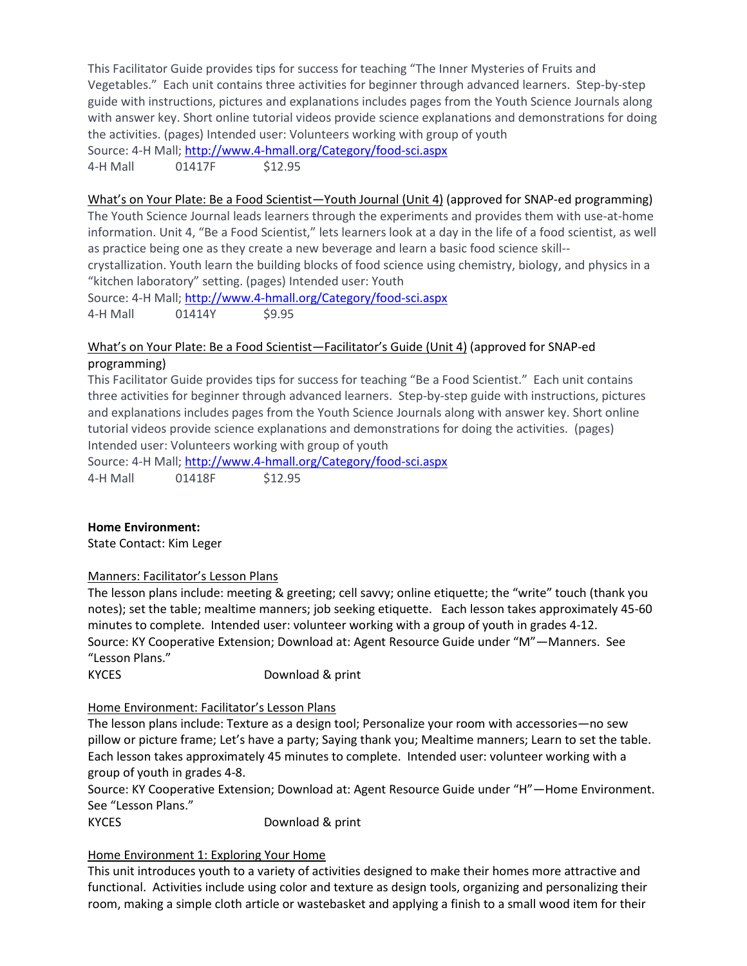This Facilitator Guide provides tips for success for teaching "The Inner Mysteries of Fruits and Vegetables." Each unit contains three activities for beginner through advanced learners. Step-by-step guide with instructions, pictures and explanations includes pages from the Youth Science Journals along with answer key. Short online tutorial videos provide science explanations and demonstrations for doing the activities. (pages) Intended user: Volunteers working with group of youth

Source: 4-H Mall;<http://www.4-hmall.org/Category/food-sci.aspx>

4-H Mall 01417F \$12.95

### What's on Your Plate: Be a Food Scientist—Youth Journal (Unit 4) (approved for SNAP-ed programming)

The Youth Science Journal leads learners through the experiments and provides them with use-at-home information. Unit 4, "Be a Food Scientist," lets learners look at a day in the life of a food scientist, as well as practice being one as they create a new beverage and learn a basic food science skill--

crystallization. Youth learn the building blocks of food science using chemistry, biology, and physics in a "kitchen laboratory" setting. (pages) Intended user: Youth

Source: 4-H Mall;<http://www.4-hmall.org/Category/food-sci.aspx> 4-H Mall 01414Y \$9.95

## What's on Your Plate: Be a Food Scientist—Facilitator's Guide (Unit 4) (approved for SNAP-ed programming)

This Facilitator Guide provides tips for success for teaching "Be a Food Scientist." Each unit contains three activities for beginner through advanced learners. Step-by-step guide with instructions, pictures and explanations includes pages from the Youth Science Journals along with answer key. Short online tutorial videos provide science explanations and demonstrations for doing the activities. (pages) Intended user: Volunteers working with group of youth

Source: 4-H Mall;<http://www.4-hmall.org/Category/food-sci.aspx> 4-H Mall 01418F \$12.95

### **Home Environment:**

State Contact: Kim Leger

### Manners: Facilitator's Lesson Plans

The lesson plans include: meeting & greeting; cell savvy; online etiquette; the "write" touch (thank you notes); set the table; mealtime manners; job seeking etiquette. Each lesson takes approximately 45-60 minutes to complete. Intended user: volunteer working with a group of youth in grades 4-12. Source: KY Cooperative Extension; Download at: Agent Resource Guide under "M"—Manners. See "Lesson Plans."

KYCES Download & print

### Home Environment: Facilitator's Lesson Plans

The lesson plans include: Texture as a design tool; Personalize your room with accessories—no sew pillow or picture frame; Let's have a party; Saying thank you; Mealtime manners; Learn to set the table. Each lesson takes approximately 45 minutes to complete. Intended user: volunteer working with a group of youth in grades 4-8.

Source: KY Cooperative Extension; Download at: Agent Resource Guide under "H"—Home Environment. See "Lesson Plans."

KYCES Download & print

### Home Environment 1: Exploring Your Home

This unit introduces youth to a variety of activities designed to make their homes more attractive and functional. Activities include using color and texture as design tools, organizing and personalizing their room, making a simple cloth article or wastebasket and applying a finish to a small wood item for their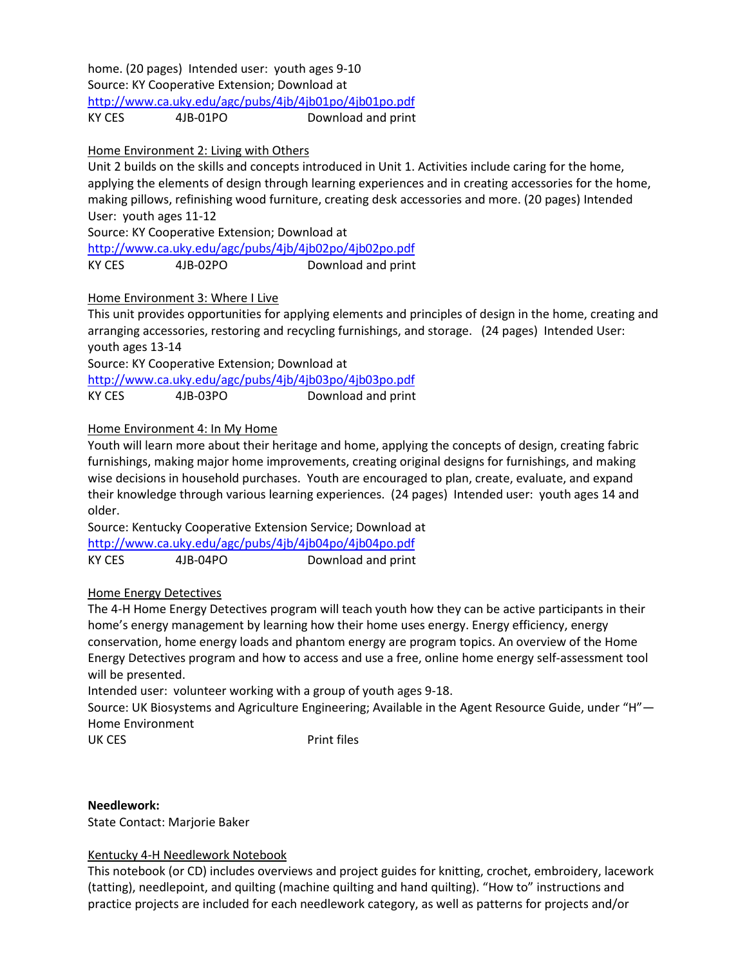home. (20 pages) Intended user: youth ages 9-10 Source: KY Cooperative Extension; Download at <http://www.ca.uky.edu/agc/pubs/4jb/4jb01po/4jb01po.pdf>

KY CES 4JB-01PO Download and print

## Home Environment 2: Living with Others

Unit 2 builds on the skills and concepts introduced in Unit 1. Activities include caring for the home, applying the elements of design through learning experiences and in creating accessories for the home, making pillows, refinishing wood furniture, creating desk accessories and more. (20 pages) Intended User: youth ages 11-12

Source: KY Cooperative Extension; Download at

<http://www.ca.uky.edu/agc/pubs/4jb/4jb02po/4jb02po.pdf> KY CES 4JB-02PO Download and print

## Home Environment 3: Where I Live

This unit provides opportunities for applying elements and principles of design in the home, creating and arranging accessories, restoring and recycling furnishings, and storage. (24 pages) Intended User: youth ages 13-14

Source: KY Cooperative Extension; Download at <http://www.ca.uky.edu/agc/pubs/4jb/4jb03po/4jb03po.pdf>

KY CES 4JB-03PO Download and print

## Home Environment 4: In My Home

Youth will learn more about their heritage and home, applying the concepts of design, creating fabric furnishings, making major home improvements, creating original designs for furnishings, and making wise decisions in household purchases. Youth are encouraged to plan, create, evaluate, and expand their knowledge through various learning experiences. (24 pages) Intended user: youth ages 14 and older.

Source: Kentucky Cooperative Extension Service; Download at <http://www.ca.uky.edu/agc/pubs/4jb/4jb04po/4jb04po.pdf> KY CES 4JB-04PO Download and print

### Home Energy Detectives

The 4-H Home Energy Detectives program will teach youth how they can be active participants in their home's energy management by learning how their home uses energy. Energy efficiency, energy conservation, home energy loads and phantom energy are program topics. An overview of the Home Energy Detectives program and how to access and use a free, online home energy self-assessment tool will be presented.

Intended user: volunteer working with a group of youth ages 9-18.

Source: UK Biosystems and Agriculture Engineering; Available in the Agent Resource Guide, under "H"— Home Environment

UK CES
Print files

**Needlework:** State Contact: Marjorie Baker

# Kentucky 4-H Needlework Notebook

This notebook (or CD) includes overviews and project guides for knitting, crochet, embroidery, lacework (tatting), needlepoint, and quilting (machine quilting and hand quilting). "How to" instructions and practice projects are included for each needlework category, as well as patterns for projects and/or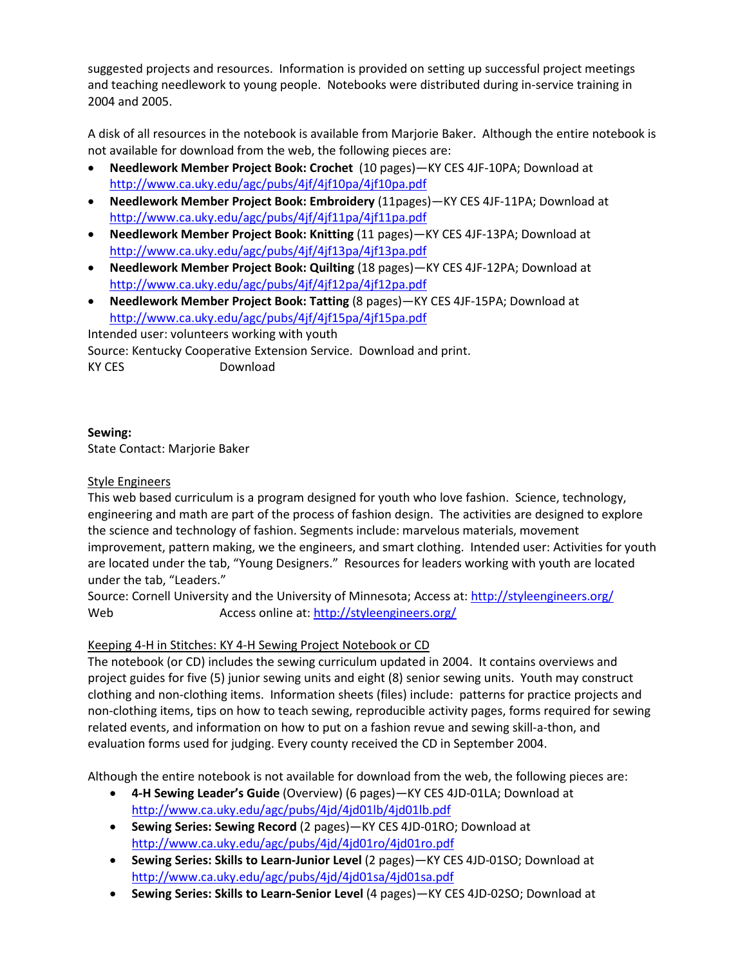suggested projects and resources. Information is provided on setting up successful project meetings and teaching needlework to young people. Notebooks were distributed during in-service training in 2004 and 2005.

A disk of all resources in the notebook is available from Marjorie Baker. Although the entire notebook is not available for download from the web, the following pieces are:

- **Needlework Member Project Book: Crochet** (10 pages)—KY CES 4JF-10PA; Download at <http://www.ca.uky.edu/agc/pubs/4jf/4jf10pa/4jf10pa.pdf>
- **Needlework Member Project Book: Embroidery** (11pages)—KY CES 4JF-11PA; Download at <http://www.ca.uky.edu/agc/pubs/4jf/4jf11pa/4jf11pa.pdf>
- **Needlework Member Project Book: Knitting** (11 pages)—KY CES 4JF-13PA; Download at <http://www.ca.uky.edu/agc/pubs/4jf/4jf13pa/4jf13pa.pdf>
- **Needlework Member Project Book: Quilting** (18 pages)—KY CES 4JF-12PA; Download at <http://www.ca.uky.edu/agc/pubs/4jf/4jf12pa/4jf12pa.pdf>
- **Needlework Member Project Book: Tatting** (8 pages)—KY CES 4JF-15PA; Download at <http://www.ca.uky.edu/agc/pubs/4jf/4jf15pa/4jf15pa.pdf>

Intended user: volunteers working with youth Source: Kentucky Cooperative Extension Service. Download and print. KY CES Download

## **Sewing:**

State Contact: Marjorie Baker

## Style Engineers

This web based curriculum is a program designed for youth who love fashion. Science, technology, engineering and math are part of the process of fashion design. The activities are designed to explore the science and technology of fashion. Segments include: marvelous materials, movement improvement, pattern making, we the engineers, and smart clothing. Intended user: Activities for youth are located under the tab, "Young Designers." Resources for leaders working with youth are located under the tab, "Leaders."

Source: Cornell University and the University of Minnesota; Access at:<http://styleengineers.org/> Web Mexico Access online at:<http://styleengineers.org/>

# Keeping 4-H in Stitches: KY 4-H Sewing Project Notebook or CD

The notebook (or CD) includes the sewing curriculum updated in 2004. It contains overviews and project guides for five (5) junior sewing units and eight (8) senior sewing units. Youth may construct clothing and non-clothing items. Information sheets (files) include: patterns for practice projects and non-clothing items, tips on how to teach sewing, reproducible activity pages, forms required for sewing related events, and information on how to put on a fashion revue and sewing skill-a-thon, and evaluation forms used for judging. Every county received the CD in September 2004.

Although the entire notebook is not available for download from the web, the following pieces are:

- **4-H Sewing Leader's Guide** (Overview) (6 pages)—KY CES 4JD-01LA; Download at <http://www.ca.uky.edu/agc/pubs/4jd/4jd01lb/4jd01lb.pdf>
- **Sewing Series: Sewing Record** (2 pages)—KY CES 4JD-01RO; Download at <http://www.ca.uky.edu/agc/pubs/4jd/4jd01ro/4jd01ro.pdf>
- **Sewing Series: Skills to Learn-Junior Level** (2 pages)—KY CES 4JD-01SO; Download at <http://www.ca.uky.edu/agc/pubs/4jd/4jd01sa/4jd01sa.pdf>
- **Sewing Series: Skills to Learn-Senior Level** (4 pages)—KY CES 4JD-02SO; Download at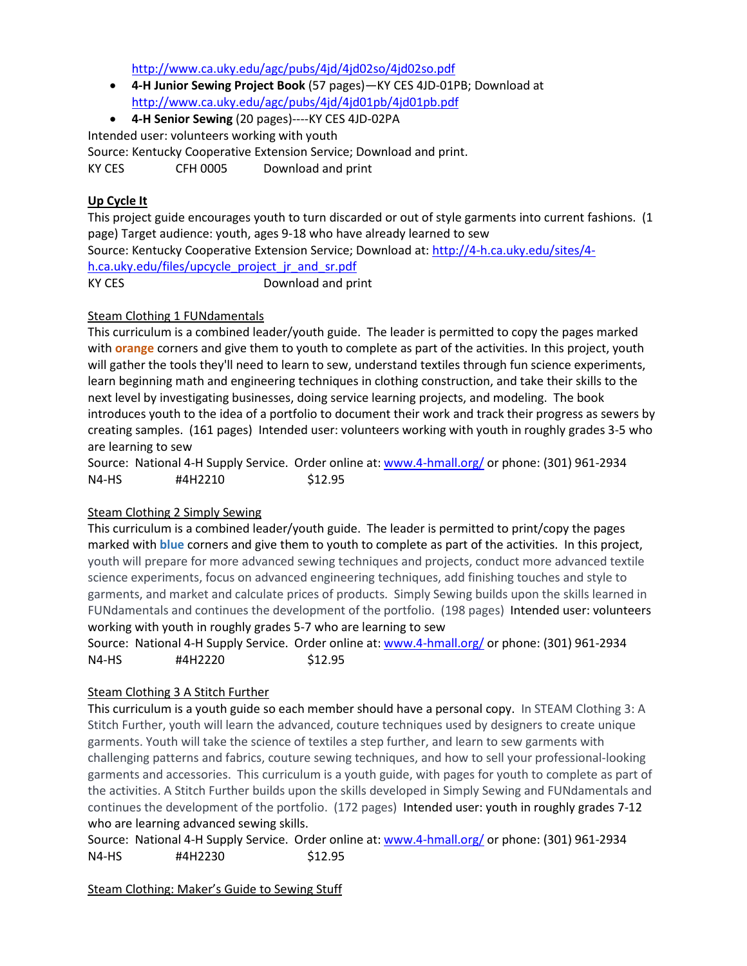<http://www.ca.uky.edu/agc/pubs/4jd/4jd02so/4jd02so.pdf>

- **4-H Junior Sewing Project Book** (57 pages)—KY CES 4JD-01PB; Download at <http://www.ca.uky.edu/agc/pubs/4jd/4jd01pb/4jd01pb.pdf>
- **4-H Senior Sewing** (20 pages)----KY CES 4JD-02PA

Intended user: volunteers working with youth

Source: Kentucky Cooperative Extension Service; Download and print.

KY CES CFH 0005 Download and print

# **Up Cycle It**

This project guide encourages youth to turn discarded or out of style garments into current fashions. (1 page) Target audience: youth, ages 9-18 who have already learned to sew Source: Kentucky Cooperative Extension Service; Download at: [http://4-h.ca.uky.edu/sites/4](http://4-h.ca.uky.edu/sites/4-h.ca.uky.edu/files/upcycle_project_jr_and_sr.pdf) [h.ca.uky.edu/files/upcycle\\_project\\_jr\\_and\\_sr.pdf](http://4-h.ca.uky.edu/sites/4-h.ca.uky.edu/files/upcycle_project_jr_and_sr.pdf) KY CES Download and print

# Steam Clothing 1 FUNdamentals

This curriculum is a combined leader/youth guide. The leader is permitted to copy the pages marked with **orange** corners and give them to youth to complete as part of the activities. In this project, youth will gather the tools they'll need to learn to sew, understand textiles through fun science experiments, learn beginning math and engineering techniques in clothing construction, and take their skills to the next level by investigating businesses, doing service learning projects, and modeling. The book introduces youth to the idea of a portfolio to document their work and track their progress as sewers by creating samples. (161 pages) Intended user: volunteers working with youth in roughly grades 3-5 who are learning to sew

Source: National 4-H Supply Service. Order online at: [www.4-hmall.org/](http://www.4-hmall.org/) or phone: (301) 961-2934 N4-HS #4H2210 \$12.95

# Steam Clothing 2 Simply Sewing

This curriculum is a combined leader/youth guide. The leader is permitted to print/copy the pages marked with **blue** corners and give them to youth to complete as part of the activities. In this project, youth will prepare for more advanced sewing techniques and projects, conduct more advanced textile science experiments, focus on advanced engineering techniques, add finishing touches and style to garments, and market and calculate prices of products. Simply Sewing builds upon the skills learned in FUNdamentals and continues the development of the portfolio. (198 pages) Intended user: volunteers working with youth in roughly grades 5-7 who are learning to sew

Source: National 4-H Supply Service. Order online at: [www.4-hmall.org/](http://www.4-hmall.org/) or phone: (301) 961-2934 N4-HS #4H2220 \$12.95

# Steam Clothing 3 A Stitch Further

This curriculum is a youth guide so each member should have a personal copy. In STEAM Clothing 3: A Stitch Further, youth will learn the advanced, couture techniques used by designers to create unique garments. Youth will take the science of textiles a step further, and learn to sew garments with challenging patterns and fabrics, couture sewing techniques, and how to sell your professional-looking garments and accessories. This curriculum is a youth guide, with pages for youth to complete as part of the activities. A Stitch Further builds upon the skills developed in Simply Sewing and FUNdamentals and continues the development of the portfolio. (172 pages) Intended user: youth in roughly grades 7-12 who are learning advanced sewing skills.

Source: National 4-H Supply Service. Order online at: [www.4-hmall.org/](http://www.4-hmall.org/) or phone: (301) 961-2934 N4-HS #4H2230 \$12.95

Steam Clothing: Maker's Guide to Sewing Stuff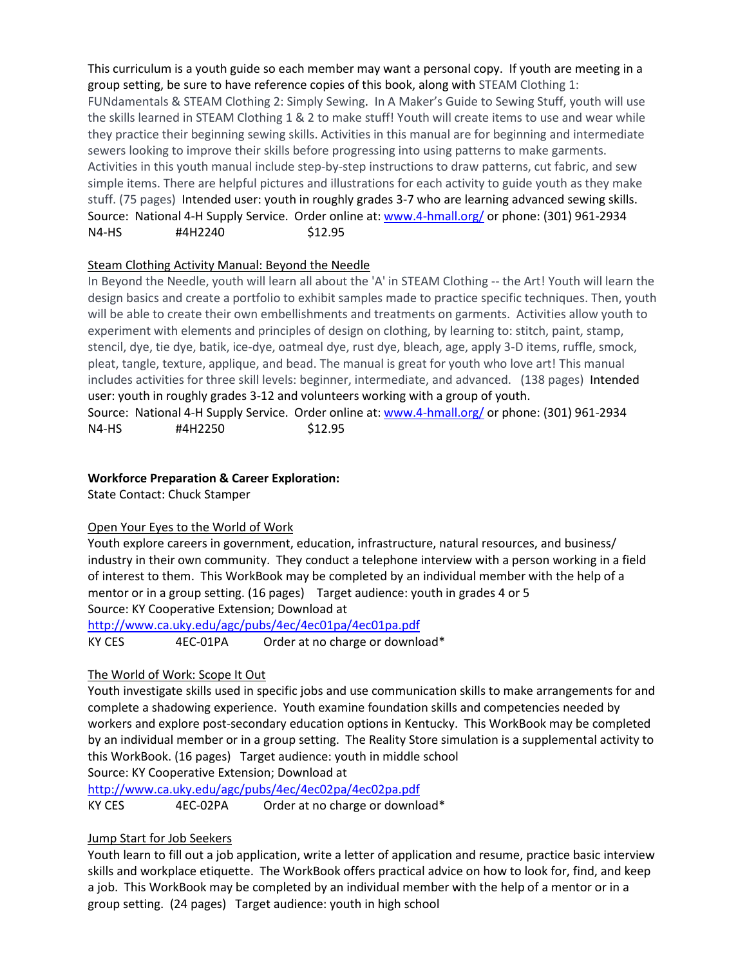This curriculum is a youth guide so each member may want a personal copy. If youth are meeting in a group setting, be sure to have reference copies of this book, along with STEAM Clothing 1: FUNdamentals & STEAM Clothing 2: Simply Sewing. In A Maker's Guide to Sewing Stuff, youth will use the skills learned in STEAM Clothing 1 & 2 to make stuff! Youth will create items to use and wear while they practice their beginning sewing skills. Activities in this manual are for beginning and intermediate sewers looking to improve their skills before progressing into using patterns to make garments. Activities in this youth manual include step-by-step instructions to draw patterns, cut fabric, and sew simple items. There are helpful pictures and illustrations for each activity to guide youth as they make stuff. (75 pages) Intended user: youth in roughly grades 3-7 who are learning advanced sewing skills. Source: National 4-H Supply Service. Order online at: [www.4-hmall.org/](http://www.4-hmall.org/) or phone: (301) 961-2934 N4-HS #4H2240 \$12.95

## Steam Clothing Activity Manual: Beyond the Needle

In Beyond the Needle, youth will learn all about the 'A' in STEAM Clothing -- the Art! Youth will learn the design basics and create a portfolio to exhibit samples made to practice specific techniques. Then, youth will be able to create their own embellishments and treatments on garments. Activities allow youth to experiment with elements and principles of design on clothing, by learning to: stitch, paint, stamp, stencil, dye, tie dye, batik, ice-dye, oatmeal dye, rust dye, bleach, age, apply 3-D items, ruffle, smock, pleat, tangle, texture, applique, and bead. The manual is great for youth who love art! This manual includes activities for three skill levels: beginner, intermediate, and advanced. (138 pages) Intended user: youth in roughly grades 3-12 and volunteers working with a group of youth. Source: National 4-H Supply Service. Order online at: [www.4-hmall.org/](http://www.4-hmall.org/) or phone: (301) 961-2934 N4-HS #4H2250 \$12.95

### **Workforce Preparation & Career Exploration:**

State Contact: Chuck Stamper

# Open Your Eyes to the World of Work

Youth explore careers in government, education, infrastructure, natural resources, and business/ industry in their own community. They conduct a telephone interview with a person working in a field of interest to them. This WorkBook may be completed by an individual member with the help of a mentor or in a group setting. (16 pages) Target audience: youth in grades 4 or 5 Source: KY Cooperative Extension; Download at

<http://www.ca.uky.edu/agc/pubs/4ec/4ec01pa/4ec01pa.pdf>

KY CES 4EC-01PA Order at no charge or download\*

# The World of Work: Scope It Out

Youth investigate skills used in specific jobs and use communication skills to make arrangements for and complete a shadowing experience. Youth examine foundation skills and competencies needed by workers and explore post-secondary education options in Kentucky. This WorkBook may be completed by an individual member or in a group setting. The Reality Store simulation is a supplemental activity to this WorkBook. (16 pages) Target audience: youth in middle school

Source: KY Cooperative Extension; Download at

<http://www.ca.uky.edu/agc/pubs/4ec/4ec02pa/4ec02pa.pdf>

KY CES 4EC-02PA Order at no charge or download\*

# Jump Start for Job Seekers

Youth learn to fill out a job application, write a letter of application and resume, practice basic interview skills and workplace etiquette. The WorkBook offers practical advice on how to look for, find, and keep a job. This WorkBook may be completed by an individual member with the help of a mentor or in a group setting. (24 pages) Target audience: youth in high school